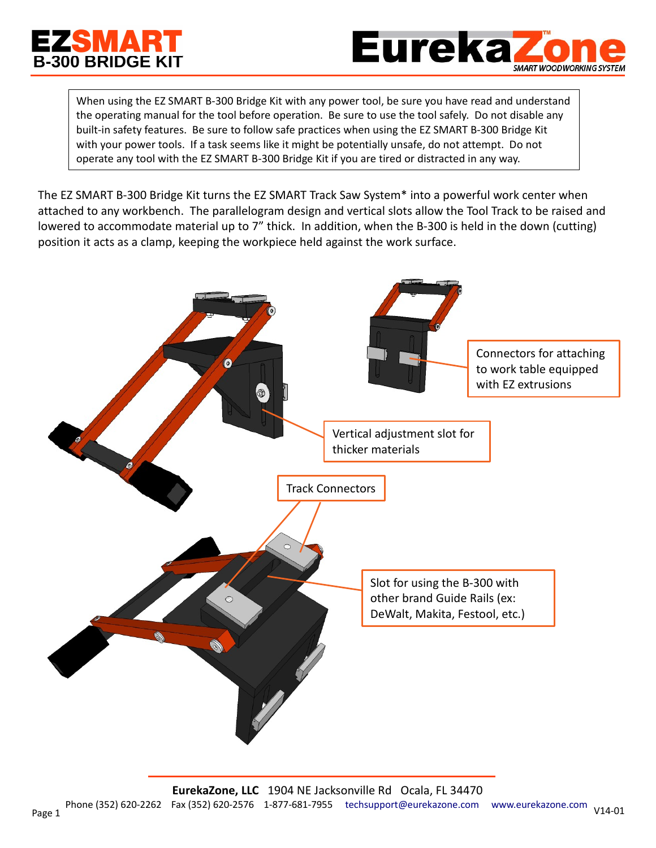# **ZSMA B-300 BRIDGE KIT**



When using the EZ SMART B-300 Bridge Kit with any power tool, be sure you have read and understand the operating manual for the tool before operation. Be sure to use the tool safely. Do not disable any built-in safety features. Be sure to follow safe practices when using the EZ SMART B-300 Bridge Kit with your power tools. If a task seems like it might be potentially unsafe, do not attempt. Do not operate any tool with the EZ SMART B-300 Bridge Kit if you are tired or distracted in any way.

The EZ SMART B-300 Bridge Kit turns the EZ SMART Track Saw System\* into a powerful work center when attached to any workbench. The parallelogram design and vertical slots allow the Tool Track to be raised and lowered to accommodate material up to 7" thick. In addition, when the B-300 is held in the down (cutting) position it acts as a clamp, keeping the workpiece held against the work surface.

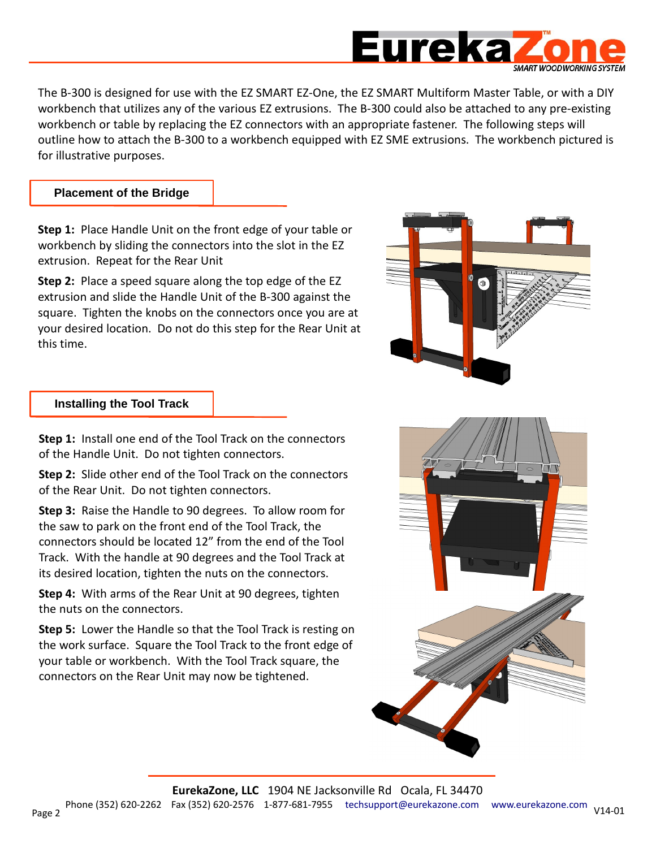

The B-300 is designed for use with the EZ SMART EZ-One, the EZ SMART Multiform Master Table, or with a DIY workbench that utilizes any of the various EZ extrusions. The B-300 could also be attached to any pre-existing workbench or table by replacing the EZ connectors with an appropriate fastener. The following steps will outline how to attach the B-300 to a workbench equipped with EZ SME extrusions. The workbench pictured is for illustrative purposes.

## **Placement of the Bridge**

**Step 1:** Place Handle Unit on the front edge of your table or workbench by sliding the connectors into the slot in the EZ extrusion. Repeat for the Rear Unit

**Step 2:** Place a speed square along the top edge of the EZ extrusion and slide the Handle Unit of the B-300 against the square. Tighten the knobs on the connectors once you are at your desired location. Do not do this step for the Rear Unit at this time.



#### **Installing the Tool Track**

**Step 1:** Install one end of the Tool Track on the connectors of the Handle Unit. Do not tighten connectors.

**Step 2:** Slide other end of the Tool Track on the connectors of the Rear Unit. Do not tighten connectors.

**Step 3:** Raise the Handle to 90 degrees. To allow room for the saw to park on the front end of the Tool Track, the connectors should be located 12" from the end of the Tool Track. With the handle at 90 degrees and the Tool Track at its desired location, tighten the nuts on the connectors.

**Step 4:** With arms of the Rear Unit at 90 degrees, tighten the nuts on the connectors.

**Step 5:** Lower the Handle so that the Tool Track is resting on the work surface. Square the Tool Track to the front edge of your table or workbench. With the Tool Track square, the connectors on the Rear Unit may now be tightened.